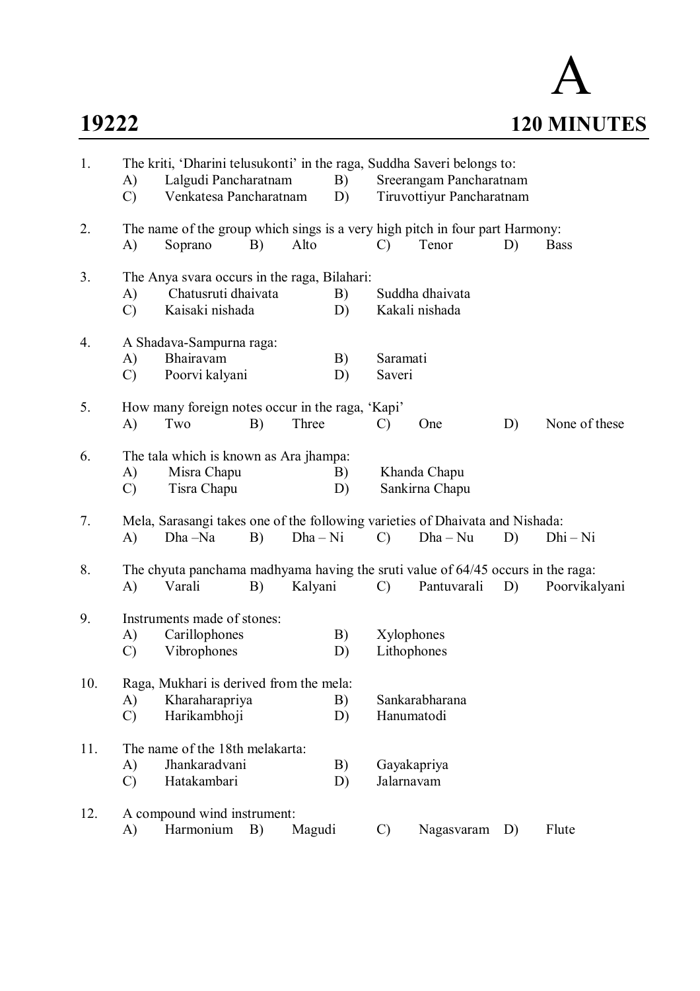A **19222 120 MINUTES**

| 1.  | A)<br>$\mathcal{C}$ | The kriti, 'Dharini telusukonti' in the raga, Suddha Saveri belongs to:<br>Lalgudi Pancharatnam<br>B)<br>Venkatesa Pancharatnam<br>D) |    |          |          |                           | Sreerangam Pancharatnam<br>Tiruvottiyur Pancharatnam |    |               |  |  |
|-----|---------------------|---------------------------------------------------------------------------------------------------------------------------------------|----|----------|----------|---------------------------|------------------------------------------------------|----|---------------|--|--|
| 2.  | A)                  | The name of the group which sings is a very high pitch in four part Harmony:<br>Soprano                                               | B) | Alto     |          | $\mathcal{C}$             | Tenor                                                | D) | <b>Bass</b>   |  |  |
| 3.  | A)<br>$\mathcal{C}$ | The Anya svara occurs in the raga, Bilahari:<br>Chatusruti dhaivata<br>B)<br>Kaisaki nishada<br>D)                                    |    |          |          |                           | Suddha dhaivata<br>Kakali nishada                    |    |               |  |  |
| 4.  | A)<br>$\mathcal{C}$ | A Shadava-Sampurna raga:<br>Bhairavam<br>Poorvi kalyani                                                                               |    |          | B)<br>D) | Saramati<br>Saveri        |                                                      |    |               |  |  |
| 5.  | A)                  | How many foreign notes occur in the raga, 'Kapi'<br>Two                                                                               | B) | Three    |          | $\mathcal{C}$             | One                                                  | D) | None of these |  |  |
| 6.  | A)<br>$\mathcal{C}$ | The tala which is known as Ara jhampa:<br>Misra Chapu<br>Tisra Chapu                                                                  |    |          | B)<br>D) |                           | Khanda Chapu<br>Sankirna Chapu                       |    |               |  |  |
| 7.  | A)                  | Mela, Sarasangi takes one of the following varieties of Dhaivata and Nishada:<br>Dha -Na                                              | B) | $Dha-Ni$ |          | $\mathcal{C}$             | $Dha - Nu$                                           | D) | $Dhi-Ni$      |  |  |
| 8.  | A)                  | The chyuta panchama madhyama having the sruti value of 64/45 occurs in the raga:<br>Varali                                            | B) | Kalyani  |          | $\mathcal{C}$             | Pantuvarali                                          | D) | Poorvikalyani |  |  |
| 9.  | A)<br>$\mathcal{C}$ | Instruments made of stones:<br>Carillophones<br>Vibrophones                                                                           |    |          | B)<br>D) | Xylophones<br>Lithophones |                                                      |    |               |  |  |
| 10. | A)<br>$\mathcal{C}$ | Raga, Mukhari is derived from the mela:<br>Kharaharapriya<br>Harikambhoji                                                             |    |          | B)<br>D) | Hanumatodi                | Sankarabharana                                       |    |               |  |  |
| 11. | A)<br>$\mathcal{C}$ | The name of the 18th melakarta:<br>Jhankaradvani<br>Hatakambari                                                                       |    |          | B)<br>D) | Gayakapriya<br>Jalarnavam |                                                      |    |               |  |  |
| 12. | A)                  | A compound wind instrument:<br>Harmonium                                                                                              | B) | Magudi   |          | $\mathcal{C}$             | Nagasvaram                                           | D) | Flute         |  |  |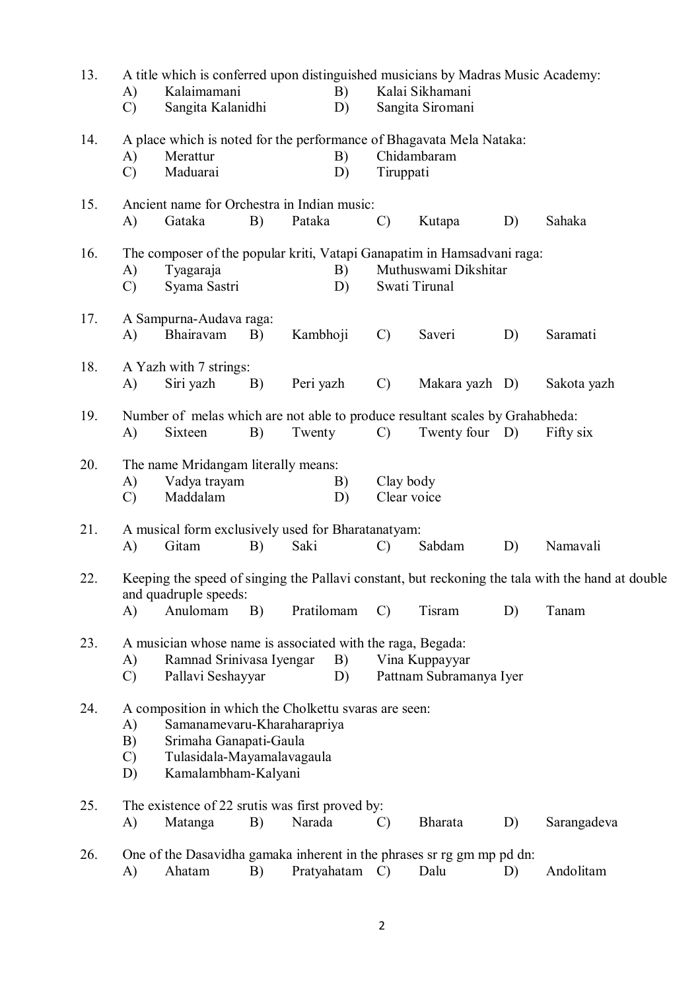| 13. | A)<br>$\mathcal{C}$             | A title which is conferred upon distinguished musicians by Madras Music Academy:<br>Kalaimamani<br>Sangita Kalanidhi                                                |    |            | B)<br>D)    |                          | Kalai Sikhamani<br>Sangita Siromani       |    |                                                                                                   |
|-----|---------------------------------|---------------------------------------------------------------------------------------------------------------------------------------------------------------------|----|------------|-------------|--------------------------|-------------------------------------------|----|---------------------------------------------------------------------------------------------------|
| 14. | A)<br>$\mathcal{C}$             | A place which is noted for the performance of Bhagavata Mela Nataka:<br>Merattur<br>Maduarai                                                                        |    |            | B)<br>D)    | Tiruppati                | Chidambaram                               |    |                                                                                                   |
| 15. | A)                              | Ancient name for Orchestra in Indian music:<br>Gataka                                                                                                               | B) | Pataka     |             | $\mathcal{C}$            | Kutapa                                    | D) | Sahaka                                                                                            |
| 16. | A)<br>$\mathcal{C}$             | The composer of the popular kriti, Vatapi Ganapatim in Hamsadvani raga:<br>Tyagaraja<br>Syama Sastri                                                                |    |            | B)<br>D)    |                          | Muthuswami Dikshitar<br>Swati Tirunal     |    |                                                                                                   |
| 17. | A)                              | A Sampurna-Audava raga:<br>Bhairavam                                                                                                                                | B) | Kambhoji   |             | $\mathcal{C}$            | Saveri                                    | D) | Saramati                                                                                          |
| 18. | A)                              | A Yazh with 7 strings:<br>Siri yazh                                                                                                                                 | B) | Peri yazh  |             | $\mathcal{C}$            | Makara yazh D)                            |    | Sakota yazh                                                                                       |
| 19. | A)                              | Number of melas which are not able to produce resultant scales by Grahabheda:<br>Sixteen                                                                            | B) | Twenty     |             | $\mathcal{C}$            | Twenty four D)                            |    | Fifty six                                                                                         |
| 20. | A)<br>$\mathcal{C}$             | The name Mridangam literally means:<br>Vadya trayam<br>Maddalam                                                                                                     |    |            | B)<br>D)    | Clay body<br>Clear voice |                                           |    |                                                                                                   |
| 21. | A)                              | A musical form exclusively used for Bharatanatyam:<br>Gitam                                                                                                         | B) | Saki       |             | $\mathcal{C}$            | Sabdam                                    | D) | Namavali                                                                                          |
| 22. |                                 | and quadruple speeds:                                                                                                                                               |    |            |             |                          |                                           |    | Keeping the speed of singing the Pallavi constant, but reckoning the tala with the hand at double |
|     | A)                              | Anulomam                                                                                                                                                            | B) | Pratilomam |             | $\mathcal{C}$            | Tisram                                    | D) | Tanam                                                                                             |
| 23. | A)<br>$\mathcal{C}$             | A musician whose name is associated with the raga, Begada:<br>Ramnad Srinivasa Iyengar<br>Pallavi Seshayyar                                                         |    |            | B)<br>D)    |                          | Vina Kuppayyar<br>Pattnam Subramanya Iyer |    |                                                                                                   |
| 24. | A)<br>B)<br>$\mathcal{C}$<br>D) | A composition in which the Cholkettu svaras are seen:<br>Samanamevaru-Kharaharapriya<br>Srimaha Ganapati-Gaula<br>Tulasidala-Mayamalavagaula<br>Kamalambham-Kalyani |    |            |             |                          |                                           |    |                                                                                                   |
| 25. | A)                              | The existence of 22 srutis was first proved by:<br>Matanga                                                                                                          | B) | Narada     |             | $\mathcal{C}$            | <b>Bharata</b>                            | D) | Sarangadeva                                                                                       |
| 26. | A)                              | One of the Dasavidha gamaka inherent in the phrases sr rg gm mp pd dn:<br>Ahatam                                                                                    | B) |            | Pratyahatam | $\mathcal{C}$            | Dalu                                      | D) | Andolitam                                                                                         |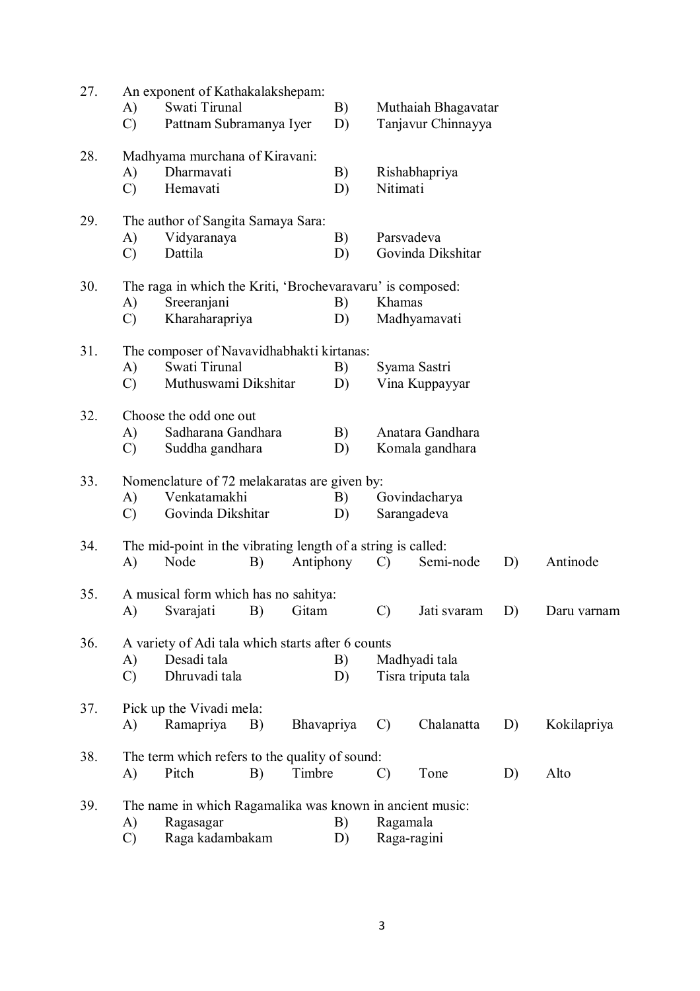| 27. | An exponent of Kathakalakshepam: |                                                              |    |            |    |                 |                     |    |             |  |  |
|-----|----------------------------------|--------------------------------------------------------------|----|------------|----|-----------------|---------------------|----|-------------|--|--|
|     | A)                               | Swati Tirunal                                                |    |            | B) |                 | Muthaiah Bhagavatar |    |             |  |  |
|     | $\mathcal{C}$                    | Pattnam Subramanya Iyer                                      |    |            | D) |                 | Tanjavur Chinnayya  |    |             |  |  |
| 28. |                                  | Madhyama murchana of Kiravani:                               |    |            |    |                 |                     |    |             |  |  |
|     | A)                               | Dharmavati                                                   |    |            | B) | Rishabhapriya   |                     |    |             |  |  |
|     | $\mathcal{C}$                    | Hemavati                                                     |    |            | D) | Nitimati        |                     |    |             |  |  |
| 29. |                                  | The author of Sangita Samaya Sara:                           |    |            |    |                 |                     |    |             |  |  |
|     | A)                               | Vidyaranaya                                                  |    |            | B) |                 | Parsvadeva          |    |             |  |  |
|     | $\mathcal{C}$                    | Dattila                                                      |    |            | D) |                 | Govinda Dikshitar   |    |             |  |  |
| 30. |                                  | The raga in which the Kriti, 'Brochevaravaru' is composed:   |    |            |    |                 |                     |    |             |  |  |
|     | A)                               | Sreeranjani                                                  |    |            | B) | Khamas          |                     |    |             |  |  |
|     | $\mathcal{C}$                    | Kharaharapriya                                               |    |            | D) |                 | Madhyamavati        |    |             |  |  |
| 31. |                                  | The composer of Navavidhabhakti kirtanas:                    |    |            |    |                 |                     |    |             |  |  |
|     | A)                               | Swati Tirunal                                                |    |            | B) |                 | Syama Sastri        |    |             |  |  |
|     | $\mathcal{C}$                    | Muthuswami Dikshitar                                         |    |            | D) |                 | Vina Kuppayyar      |    |             |  |  |
| 32. |                                  | Choose the odd one out                                       |    |            |    |                 |                     |    |             |  |  |
|     | A)                               | Sadharana Gandhara                                           |    |            | B) |                 | Anatara Gandhara    |    |             |  |  |
|     | $\mathcal{C}$                    | Suddha gandhara                                              |    |            | D) |                 | Komala gandhara     |    |             |  |  |
| 33. |                                  | Nomenclature of 72 melakaratas are given by:                 |    |            |    |                 |                     |    |             |  |  |
|     | A)                               | Venkatamakhi                                                 |    |            | B) |                 | Govindacharya       |    |             |  |  |
|     | $\mathcal{C}$                    | Govinda Dikshitar                                            |    |            | D) |                 | Sarangadeva         |    |             |  |  |
| 34. |                                  | The mid-point in the vibrating length of a string is called: |    |            |    |                 |                     |    |             |  |  |
|     | A)                               | Node                                                         | B) | Antiphony  |    | $\mathcal{C}$   | Semi-node           | D) | Antinode    |  |  |
| 35. |                                  | A musical form which has no sahitya:                         |    |            |    |                 |                     |    |             |  |  |
|     |                                  | A) Svarajati B) Gitam                                        |    |            |    | $\mathcal{C}$ ) | Jati svaram         | D) | Daru varnam |  |  |
| 36. |                                  | A variety of Adi tala which starts after 6 counts            |    |            |    |                 |                     |    |             |  |  |
|     | A)                               | Desadi tala                                                  |    |            | B) |                 | Madhyadi tala       |    |             |  |  |
|     | $\mathcal{C}$                    | Dhruvadi tala                                                |    |            | D) |                 | Tisra triputa tala  |    |             |  |  |
| 37. |                                  | Pick up the Vivadi mela:                                     |    |            |    |                 |                     |    |             |  |  |
|     | A)                               | Ramapriya                                                    | B) | Bhavapriya |    | $\mathcal{C}$   | Chalanatta          | D) | Kokilapriya |  |  |
| 38. |                                  | The term which refers to the quality of sound:               |    |            |    |                 |                     |    |             |  |  |
|     | A)                               | Pitch                                                        | B) | Timbre     |    | $\mathcal{C}$   | Tone                | D) | Alto        |  |  |
| 39. |                                  | The name in which Ragamalika was known in ancient music:     |    |            |    |                 |                     |    |             |  |  |
|     | A)                               | Ragasagar                                                    |    |            | B) | Ragamala        |                     |    |             |  |  |
|     | $\mathcal{C}$                    | Raga kadambakam                                              |    |            | D) |                 | Raga-ragini         |    |             |  |  |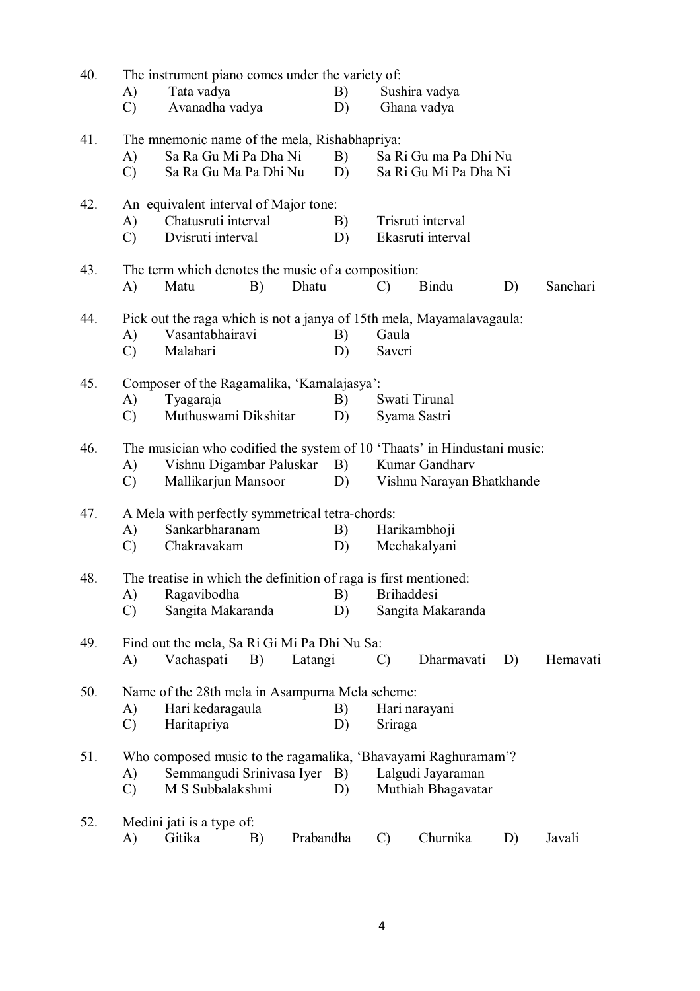| 40. |               | The instrument piano comes under the variety of:                         |    |           |    |               |                           |    |          |  |
|-----|---------------|--------------------------------------------------------------------------|----|-----------|----|---------------|---------------------------|----|----------|--|
|     | A)            | Tata vadya                                                               |    |           | B) | Sushira vadya |                           |    |          |  |
|     | $\mathcal{C}$ | Avanadha vadya                                                           |    |           | D) |               | Ghana vadya               |    |          |  |
| 41. |               | The mnemonic name of the mela, Rishabhapriya:                            |    |           |    |               |                           |    |          |  |
|     | A)            | Sa Ra Gu Mi Pa Dha Ni                                                    |    |           | B) |               | Sa Ri Gu ma Pa Dhi Nu     |    |          |  |
|     | $\mathcal{C}$ | Sa Ra Gu Ma Pa Dhi Nu                                                    |    |           | D) |               | Sa Ri Gu Mi Pa Dha Ni     |    |          |  |
| 42. |               | An equivalent interval of Major tone:                                    |    |           |    |               |                           |    |          |  |
|     | A)            | Chatusruti interval                                                      |    |           | B) |               | Trisruti interval         |    |          |  |
|     | $\mathcal{C}$ | Dvisruti interval                                                        |    |           | D) |               | Ekasruti interval         |    |          |  |
| 43. |               | The term which denotes the music of a composition:                       |    |           |    |               |                           |    |          |  |
|     | A)            | Matu                                                                     | B) | Dhatu     |    | $\mathcal{C}$ | <b>Bindu</b>              | D) | Sanchari |  |
| 44. |               | Pick out the raga which is not a janya of 15th mela, Mayamalavagaula:    |    |           |    |               |                           |    |          |  |
|     | A)            | Vasantabhairavi                                                          |    |           | B) | Gaula         |                           |    |          |  |
|     | $\mathcal{C}$ | Malahari                                                                 |    |           | D) | Saveri        |                           |    |          |  |
| 45. |               | Composer of the Ragamalika, 'Kamalajasya':                               |    |           |    |               |                           |    |          |  |
|     | A)            | Tyagaraja                                                                |    |           | B) |               | Swati Tirunal             |    |          |  |
|     | C)            | Muthuswami Dikshitar                                                     |    |           | D) |               | Syama Sastri              |    |          |  |
| 46. |               | The musician who codified the system of 10 'Thaats' in Hindustani music: |    |           |    |               |                           |    |          |  |
|     | A)            | Vishnu Digambar Paluskar                                                 |    |           | B) |               | Kumar Gandharv            |    |          |  |
|     | $\mathcal{C}$ | Mallikarjun Mansoor                                                      |    |           | D) |               | Vishnu Narayan Bhatkhande |    |          |  |
| 47. |               | A Mela with perfectly symmetrical tetra-chords:                          |    |           |    |               |                           |    |          |  |
|     | A)            | Sankarbharanam                                                           |    |           | B) |               | Harikambhoji              |    |          |  |
|     | $\mathcal{C}$ | Chakravakam                                                              |    |           | D) |               | Mechakalyani              |    |          |  |
| 48. |               | The treatise in which the definition of raga is first mentioned:         |    |           |    |               |                           |    |          |  |
|     |               | A) Ragavibodha B) Brihaddesi                                             |    |           |    |               |                           |    |          |  |
|     | $\mathcal{C}$ | Sangita Makaranda                                                        |    |           | D) |               | Sangita Makaranda         |    |          |  |
| 49. |               | Find out the mela, Sa Ri Gi Mi Pa Dhi Nu Sa:                             |    |           |    |               |                           |    |          |  |
|     | A)            | Vachaspati                                                               | B) | Latangi   |    | $\mathcal{C}$ | Dharmavati                | D) | Hemavati |  |
| 50. |               | Name of the 28th mela in Asampurna Mela scheme:                          |    |           |    |               |                           |    |          |  |
|     | A)            | Hari kedaragaula                                                         |    |           | B) |               | Hari narayani             |    |          |  |
|     | $\mathcal{C}$ | Haritapriya                                                              |    |           | D) | Sriraga       |                           |    |          |  |
| 51. |               | Who composed music to the ragamalika, 'Bhavayami Raghuramam'?            |    |           |    |               |                           |    |          |  |
|     | A)            | Semmangudi Srinivasa Iyer B)                                             |    |           |    |               | Lalgudi Jayaraman         |    |          |  |
|     | $\mathcal{C}$ | M S Subbalakshmi                                                         |    |           | D) |               | Muthiah Bhagavatar        |    |          |  |
| 52. |               | Medini jati is a type of:                                                |    |           |    |               |                           |    |          |  |
|     | A)            | Gitika                                                                   | B) | Prabandha |    | $\mathcal{C}$ | Churnika                  | D) | Javali   |  |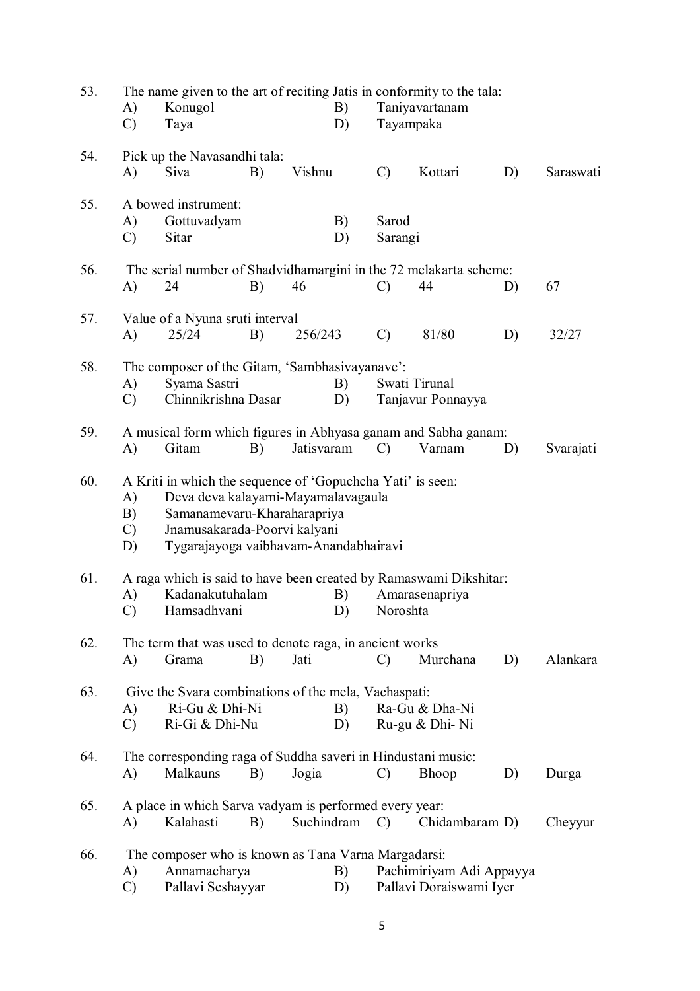| 53. | A)<br>$\mathcal{C}$             | The name given to the art of reciting Jatis in conformity to the tala:<br>Konugol<br>Taya                                                                                                                |    |            | B)<br>D) |                  | Taniyavartanam<br>Tayampaka                         |    |           |
|-----|---------------------------------|----------------------------------------------------------------------------------------------------------------------------------------------------------------------------------------------------------|----|------------|----------|------------------|-----------------------------------------------------|----|-----------|
| 54. | A)                              | Pick up the Navasandhi tala:<br>Siva                                                                                                                                                                     | B) | Vishnu     |          | $\mathcal{C}$    | Kottari                                             | D) | Saraswati |
| 55. | A)<br>$\mathcal{C}$             | A bowed instrument:<br>Gottuvadyam<br>Sitar                                                                                                                                                              |    |            | B)<br>D) | Sarod<br>Sarangi |                                                     |    |           |
| 56. | A)                              | The serial number of Shadvidhamargini in the 72 melakarta scheme:<br>24                                                                                                                                  | B) | 46         |          | $\mathcal{C}$    | 44                                                  | D) | 67        |
| 57. | A)                              | Value of a Nyuna sruti interval<br>25/24                                                                                                                                                                 | B) | 256/243    |          | $\mathcal{C}$    | 81/80                                               | D) | 32/27     |
| 58. | A)<br>C)                        | The composer of the Gitam, 'Sambhasivayanave':<br>Syama Sastri<br>Chinnikrishna Dasar                                                                                                                    |    |            | B)<br>D) |                  | Swati Tirunal<br>Tanjavur Ponnayya                  |    |           |
| 59. | A)                              | A musical form which figures in Abhyasa ganam and Sabha ganam:<br>Gitam                                                                                                                                  | B) | Jatisvaram |          | $\mathcal{C}$    | Varnam                                              | D) | Svarajati |
| 60. | A)<br>B)<br>$\mathcal{C}$<br>D) | A Kriti in which the sequence of 'Gopuchcha Yati' is seen:<br>Deva deva kalayami-Mayamalavagaula<br>Samanamevaru-Kharaharapriya<br>Jnamusakarada-Poorvi kalyani<br>Tygarajayoga vaibhavam-Anandabhairavi |    |            |          |                  |                                                     |    |           |
| 61. | A)                              | A raga which is said to have been created by Ramaswami Dikshitar:<br>Kadanakutuhalam<br>C) Hamsadhvani                                                                                                   |    |            | B)<br>D) |                  | Amarasenapriya<br>Noroshta                          |    |           |
| 62. | A)                              | The term that was used to denote raga, in ancient works<br>Grama                                                                                                                                         | B) | Jati       |          | $\mathcal{C}$    | Murchana                                            | D) | Alankara  |
| 63. | A)<br>$\mathcal{C}$             | Give the Svara combinations of the mela, Vachaspati:<br>Ri-Gu & Dhi-Ni<br>Ri-Gi & Dhi-Nu                                                                                                                 |    |            | B)<br>D) |                  | Ra-Gu & Dha-Ni<br>Ru-gu & Dhi- Ni                   |    |           |
| 64. | A)                              | The corresponding raga of Suddha saveri in Hindustani music:<br>Malkauns                                                                                                                                 | B) | Jogia      |          | $\mathcal{C}$    | Bhoop                                               | D) | Durga     |
| 65. | A)                              | A place in which Sarva vadyam is performed every year:<br>Kalahasti                                                                                                                                      | B) | Suchindram |          | $\mathcal{C}$    | Chidambaram D)                                      |    | Cheyyur   |
| 66. | A)<br>$\mathcal{C}$             | The composer who is known as Tana Varna Margadarsi:<br>Annamacharya<br>Pallavi Seshayyar                                                                                                                 |    |            | B)<br>D) |                  | Pachimiriyam Adi Appayya<br>Pallavi Doraiswami Iyer |    |           |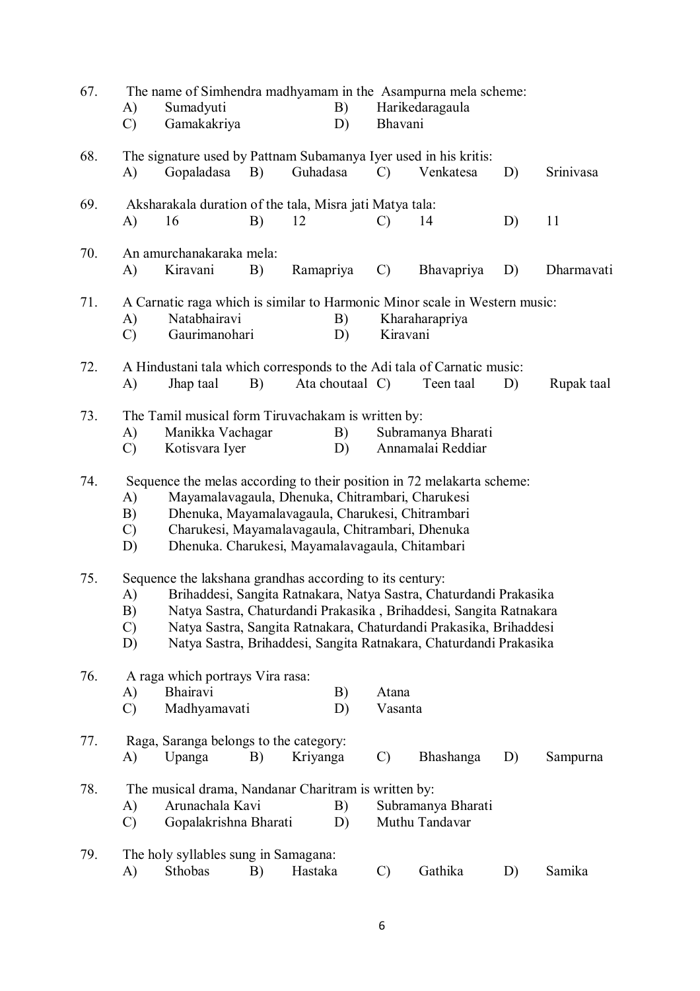| 67. | A)<br>$\mathcal{C}$             | Sumadyuti<br>Gamakakriya                                                                                                                                                                                                                                                              |    | The name of Simhendra madhyamam in the Asampurna mela scheme:<br>B)<br>Harikedaragaula<br>Bhavani<br>D) |                 |                  |                                                                                                                                                                                                                                                                                      |    |            |
|-----|---------------------------------|---------------------------------------------------------------------------------------------------------------------------------------------------------------------------------------------------------------------------------------------------------------------------------------|----|---------------------------------------------------------------------------------------------------------|-----------------|------------------|--------------------------------------------------------------------------------------------------------------------------------------------------------------------------------------------------------------------------------------------------------------------------------------|----|------------|
| 68. | A)                              | The signature used by Pattnam Subamanya Iyer used in his kritis:<br>Gopaladasa                                                                                                                                                                                                        | B) | Guhadasa                                                                                                |                 | $\mathcal{C}$    | Venkatesa                                                                                                                                                                                                                                                                            | D) | Srinivasa  |
| 69. | A)                              | Aksharakala duration of the tala, Misra jati Matya tala:<br>16                                                                                                                                                                                                                        | B) | 12                                                                                                      |                 | $\mathcal{C}$    | 14                                                                                                                                                                                                                                                                                   | D) | 11         |
| 70. | A)                              | An amurchanakaraka mela:<br>Kiravani                                                                                                                                                                                                                                                  | B) | Ramapriya                                                                                               |                 | $\mathcal{C}$    | Bhavapriya                                                                                                                                                                                                                                                                           | D) | Dharmavati |
| 71. | A)<br>$\mathcal{C}$             | A Carnatic raga which is similar to Harmonic Minor scale in Western music:<br>Natabhairavi<br>Gaurimanohari                                                                                                                                                                           |    |                                                                                                         | B)<br>D)        | Kiravani         | Kharaharapriya                                                                                                                                                                                                                                                                       |    |            |
| 72. | A)                              | A Hindustani tala which corresponds to the Adi tala of Carnatic music:<br>Jhap taal                                                                                                                                                                                                   | B) |                                                                                                         | Ata choutaal C) |                  | Teen taal                                                                                                                                                                                                                                                                            | D) | Rupak taal |
| 73. | A)<br>$\mathcal{C}$             | The Tamil musical form Tiruvachakam is written by:<br>Manikka Vachagar<br>Kotisvara Iyer                                                                                                                                                                                              |    |                                                                                                         | B)<br>D)        |                  | Subramanya Bharati<br>Annamalai Reddiar                                                                                                                                                                                                                                              |    |            |
| 74. | A)<br>B)<br>$\mathcal{C}$<br>D) | Sequence the melas according to their position in 72 melakarta scheme:<br>Mayamalavagaula, Dhenuka, Chitrambari, Charukesi<br>Dhenuka, Mayamalavagaula, Charukesi, Chitrambari<br>Charukesi, Mayamalavagaula, Chitrambari, Dhenuka<br>Dhenuka. Charukesi, Mayamalavagaula, Chitambari |    |                                                                                                         |                 |                  |                                                                                                                                                                                                                                                                                      |    |            |
| 75. | A)<br>B)<br>$\mathcal{C}$<br>D) | Sequence the lakshana grandhas according to its century:                                                                                                                                                                                                                              |    |                                                                                                         |                 |                  | Brihaddesi, Sangita Ratnakara, Natya Sastra, Chaturdandi Prakasika<br>Natya Sastra, Chaturdandi Prakasika, Brihaddesi, Sangita Ratnakara<br>Natya Sastra, Sangita Ratnakara, Chaturdandi Prakasika, Brihaddesi<br>Natya Sastra, Brihaddesi, Sangita Ratnakara, Chaturdandi Prakasika |    |            |
| 76. | A)<br>$\mathcal{C}$             | A raga which portrays Vira rasa:<br>Bhairavi<br>Madhyamavati                                                                                                                                                                                                                          |    |                                                                                                         | B)<br>D)        | Atana<br>Vasanta |                                                                                                                                                                                                                                                                                      |    |            |
| 77. | A)                              | Raga, Saranga belongs to the category:<br>Upanga                                                                                                                                                                                                                                      | B) | Kriyanga                                                                                                |                 | $\mathcal{C}$    | Bhashanga                                                                                                                                                                                                                                                                            | D) | Sampurna   |
| 78. | A)<br>$\mathcal{C}$             | The musical drama, Nandanar Charitram is written by:<br>Arunachala Kavi<br>Gopalakrishna Bharati                                                                                                                                                                                      |    |                                                                                                         | B)<br>D)        |                  | Subramanya Bharati<br>Muthu Tandavar                                                                                                                                                                                                                                                 |    |            |
| 79. | A)                              | The holy syllables sung in Samagana:<br>Sthobas                                                                                                                                                                                                                                       | B) | Hastaka                                                                                                 |                 | $\mathcal{C}$    | Gathika                                                                                                                                                                                                                                                                              | D) | Samika     |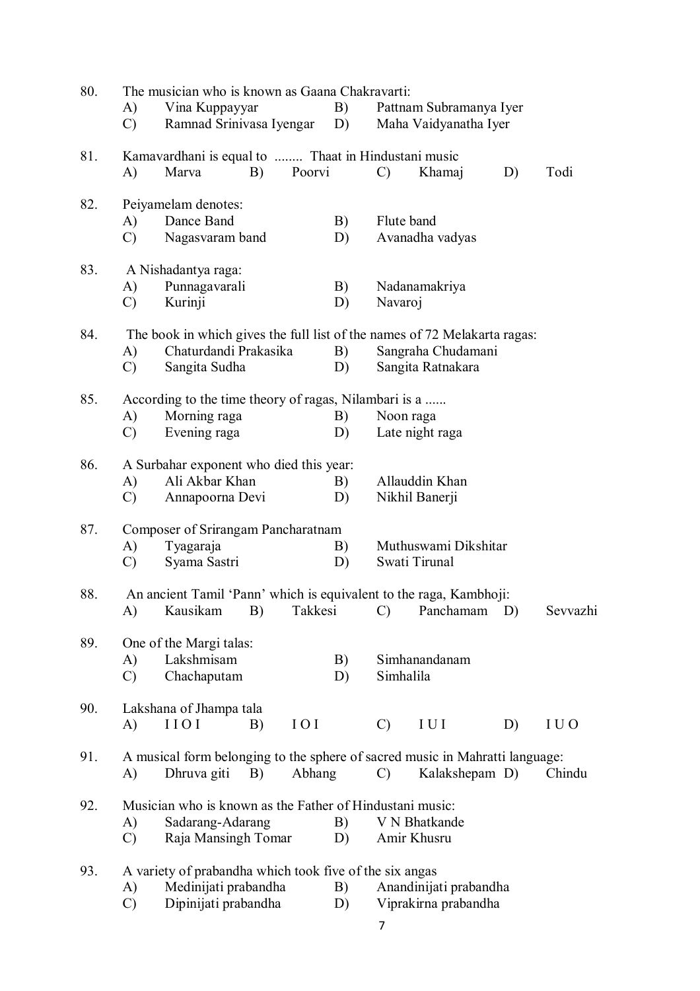|     |                 | The musician who is known as Gaana Chakravarti:<br>B)                        |    |        |    |               |                         |    |          |  |  |  |
|-----|-----------------|------------------------------------------------------------------------------|----|--------|----|---------------|-------------------------|----|----------|--|--|--|
|     |                 | A)<br>Vina Kuppayyar                                                         |    |        |    |               | Pattnam Subramanya Iyer |    |          |  |  |  |
|     | $\mathcal{C}$ ) | Ramnad Srinivasa Iyengar                                                     |    |        | D) |               | Maha Vaidyanatha Iyer   |    |          |  |  |  |
| 81. |                 | Kamavardhani is equal to  Thaat in Hindustani music                          |    |        |    |               |                         |    |          |  |  |  |
|     | A)              | Marva                                                                        | B) | Poorvi |    | $\mathcal{C}$ | Khamaj                  | D) | Todi     |  |  |  |
| 82. |                 | Peiyamelam denotes:                                                          |    |        |    |               |                         |    |          |  |  |  |
|     | A)              | Dance Band                                                                   |    |        | B) | Flute band    |                         |    |          |  |  |  |
|     | $\mathcal{C}$   | Nagasvaram band                                                              |    |        | D) |               | Avanadha vadyas         |    |          |  |  |  |
| 83. |                 | A Nishadantya raga:                                                          |    |        |    |               |                         |    |          |  |  |  |
|     | A)              | Punnagavarali                                                                |    |        | B) |               | Nadanamakriya           |    |          |  |  |  |
|     | $\mathcal{C}$   | Kurinji                                                                      |    |        | D) | Navaroj       |                         |    |          |  |  |  |
| 84. |                 | The book in which gives the full list of the names of 72 Melakarta ragas:    |    |        |    |               |                         |    |          |  |  |  |
|     | A)              | Chaturdandi Prakasika                                                        |    |        | B) |               | Sangraha Chudamani      |    |          |  |  |  |
|     | $\mathcal{C}$   | Sangita Sudha                                                                |    |        | D) |               | Sangita Ratnakara       |    |          |  |  |  |
| 85. |                 | According to the time theory of ragas, Nilambari is a                        |    |        |    |               |                         |    |          |  |  |  |
|     | A)              | Morning raga                                                                 |    |        | B) | Noon raga     |                         |    |          |  |  |  |
|     | $\mathcal{C}$   | Evening raga                                                                 |    |        | D) |               | Late night raga         |    |          |  |  |  |
| 86. |                 | A Surbahar exponent who died this year:                                      |    |        |    |               |                         |    |          |  |  |  |
|     | A)              | Ali Akbar Khan                                                               |    |        | B) |               | Allauddin Khan          |    |          |  |  |  |
|     | $\mathcal{C}$   | Annapoorna Devi                                                              |    |        | D) |               | Nikhil Banerji          |    |          |  |  |  |
| 87. |                 | Composer of Srirangam Pancharatnam                                           |    |        |    |               |                         |    |          |  |  |  |
|     | A)              | Tyagaraja                                                                    |    |        | B) |               | Muthuswami Dikshitar    |    |          |  |  |  |
|     | $\mathcal{C}$   | Syama Sastri                                                                 |    |        | D) |               | Swati Tirunal           |    |          |  |  |  |
| 88. |                 | An ancient Tamil 'Pann' which is equivalent to the raga, Kambhoji:           |    |        |    |               |                         |    |          |  |  |  |
|     |                 | A) Kausikam B) Takkesi C) Panchamam D)                                       |    |        |    |               |                         |    | Sevvazhi |  |  |  |
| 89. |                 | One of the Margi talas:                                                      |    |        |    |               |                         |    |          |  |  |  |
|     | A)              | Lakshmisam                                                                   |    |        | B) |               | Simhanandanam           |    |          |  |  |  |
|     | $\mathcal{C}$   | Chachaputam                                                                  |    |        | D) | Simhalila     |                         |    |          |  |  |  |
| 90. |                 | Lakshana of Jhampa tala                                                      |    |        |    |               |                         |    |          |  |  |  |
|     | A)              | 1101                                                                         | B) | IOI    |    | $\mathcal{C}$ | IUI                     | D) | I U O    |  |  |  |
| 91. |                 | A musical form belonging to the sphere of sacred music in Mahratti language: |    |        |    |               |                         |    |          |  |  |  |
|     | $\bf{A}$        | Dhruva giti $B$ )                                                            |    | Abhang |    | $\mathcal{C}$ | Kalakshepam D)          |    | Chindu   |  |  |  |
| 92. |                 | Musician who is known as the Father of Hindustani music:                     |    |        |    |               |                         |    |          |  |  |  |
|     | A)              | Sadarang-Adarang                                                             |    |        | B) |               | V N Bhatkande           |    |          |  |  |  |
|     | $\mathcal{C}$   | Raja Mansingh Tomar                                                          |    |        | D) |               | Amir Khusru             |    |          |  |  |  |
| 93. |                 | A variety of prabandha which took five of the six angas                      |    |        |    |               |                         |    |          |  |  |  |
|     | A)              | Medinijati prabandha                                                         |    |        | B) |               | Anandinijati prabandha  |    |          |  |  |  |
|     | $\mathcal{C}$   | Dipinijati prabandha                                                         |    |        | D) |               | Viprakirna prabandha    |    |          |  |  |  |

7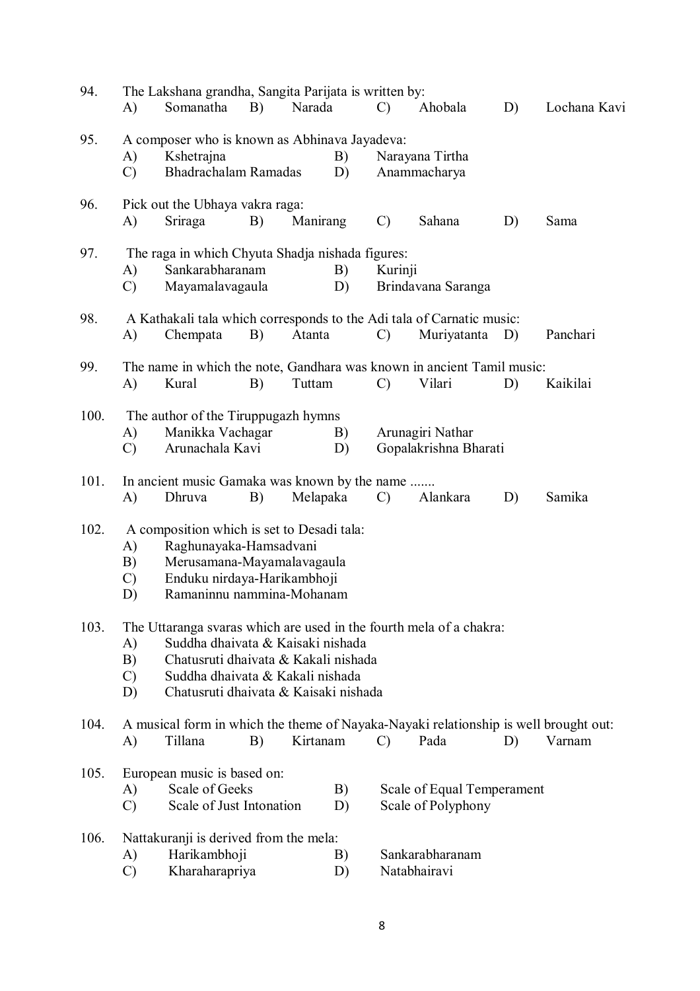| 94.  | A)            | Somanatha                                                              | B) | The Lakshana grandha, Sangita Parijata is written by:<br>Narada<br>$\mathcal{C}$<br>Ahobala |    |               |                            | D) | Lochana Kavi                                                                         |
|------|---------------|------------------------------------------------------------------------|----|---------------------------------------------------------------------------------------------|----|---------------|----------------------------|----|--------------------------------------------------------------------------------------|
|      |               |                                                                        |    |                                                                                             |    |               |                            |    |                                                                                      |
| 95.  |               | A composer who is known as Abhinava Jayadeva:                          |    |                                                                                             |    |               |                            |    |                                                                                      |
|      | A)            | Kshetrajna                                                             |    |                                                                                             | B) |               | Narayana Tirtha            |    |                                                                                      |
|      | $\mathcal{C}$ | Bhadrachalam Ramadas                                                   |    |                                                                                             | D) |               | Anammacharya               |    |                                                                                      |
| 96.  |               | Pick out the Ubhaya vakra raga:                                        |    |                                                                                             |    |               |                            |    |                                                                                      |
|      | A)            | Sriraga                                                                | B) | Manirang                                                                                    |    | $\mathcal{C}$ | Sahana                     | D) | Sama                                                                                 |
| 97.  |               | The raga in which Chyuta Shadja nishada figures:                       |    |                                                                                             |    |               |                            |    |                                                                                      |
|      | A)            | Sankarabharanam                                                        |    |                                                                                             | B) | Kurinji       |                            |    |                                                                                      |
|      | $\mathcal{C}$ | Mayamalavagaula                                                        |    |                                                                                             | D) |               | Brindavana Saranga         |    |                                                                                      |
| 98.  |               | A Kathakali tala which corresponds to the Adi tala of Carnatic music:  |    |                                                                                             |    |               |                            |    |                                                                                      |
|      | A)            | Chempata                                                               | B) | Atanta                                                                                      |    | $\mathcal{C}$ | Muriyatanta                | D) | Panchari                                                                             |
| 99.  |               | The name in which the note, Gandhara was known in ancient Tamil music: |    |                                                                                             |    |               |                            |    |                                                                                      |
|      | A)            | Kural                                                                  | B) | Tuttam                                                                                      |    | $\mathcal{C}$ | Vilari                     | D) | Kaikilai                                                                             |
| 100. |               | The author of the Tiruppugazh hymns                                    |    |                                                                                             |    |               |                            |    |                                                                                      |
|      | A)            | Manikka Vachagar                                                       |    |                                                                                             | B) |               | Arunagiri Nathar           |    |                                                                                      |
|      | $\mathcal{C}$ | Arunachala Kavi                                                        |    |                                                                                             | D) |               | Gopalakrishna Bharati      |    |                                                                                      |
| 101. |               | In ancient music Gamaka was known by the name                          |    |                                                                                             |    |               |                            |    |                                                                                      |
|      | A)            | Dhruva                                                                 | B) | Melapaka                                                                                    |    | $\mathcal{C}$ | Alankara                   | D) | Samika                                                                               |
| 102. |               | A composition which is set to Desadi tala:                             |    |                                                                                             |    |               |                            |    |                                                                                      |
|      | A)            | Raghunayaka-Hamsadvani                                                 |    |                                                                                             |    |               |                            |    |                                                                                      |
|      | B)            | Merusamana-Mayamalavagaula                                             |    |                                                                                             |    |               |                            |    |                                                                                      |
|      | $\mathcal{C}$ | Enduku nirdaya-Harikambhoji                                            |    |                                                                                             |    |               |                            |    |                                                                                      |
|      | D)            | Ramaninnu nammina-Mohanam                                              |    |                                                                                             |    |               |                            |    |                                                                                      |
| 103. |               | The Uttaranga svaras which are used in the fourth mela of a chakra:    |    |                                                                                             |    |               |                            |    |                                                                                      |
|      | A)            | Suddha dhaivata & Kaisaki nishada                                      |    |                                                                                             |    |               |                            |    |                                                                                      |
|      | B)            | Chatusruti dhaivata & Kakali nishada                                   |    |                                                                                             |    |               |                            |    |                                                                                      |
|      | $\mathcal{C}$ | Suddha dhaivata & Kakali nishada                                       |    |                                                                                             |    |               |                            |    |                                                                                      |
|      | D)            | Chatusruti dhaivata & Kaisaki nishada                                  |    |                                                                                             |    |               |                            |    |                                                                                      |
| 104. |               |                                                                        |    |                                                                                             |    |               |                            |    | A musical form in which the theme of Nayaka-Nayaki relationship is well brought out: |
|      | A)            | Tillana                                                                | B) | Kirtanam                                                                                    |    | $\mathcal{C}$ | Pada                       | D) | Varnam                                                                               |
| 105. |               | European music is based on:                                            |    |                                                                                             |    |               |                            |    |                                                                                      |
|      | A)            | Scale of Geeks                                                         |    |                                                                                             | B) |               | Scale of Equal Temperament |    |                                                                                      |
|      | $\mathcal{C}$ | Scale of Just Intonation                                               |    |                                                                                             | D) |               | Scale of Polyphony         |    |                                                                                      |
| 106. |               | Nattakuranji is derived from the mela:                                 |    |                                                                                             |    |               |                            |    |                                                                                      |
|      | A)            | Harikambhoji                                                           |    |                                                                                             | B) |               | Sankarabharanam            |    |                                                                                      |
|      | $\mathcal{C}$ | Kharaharapriya                                                         |    |                                                                                             | D) |               | Natabhairavi               |    |                                                                                      |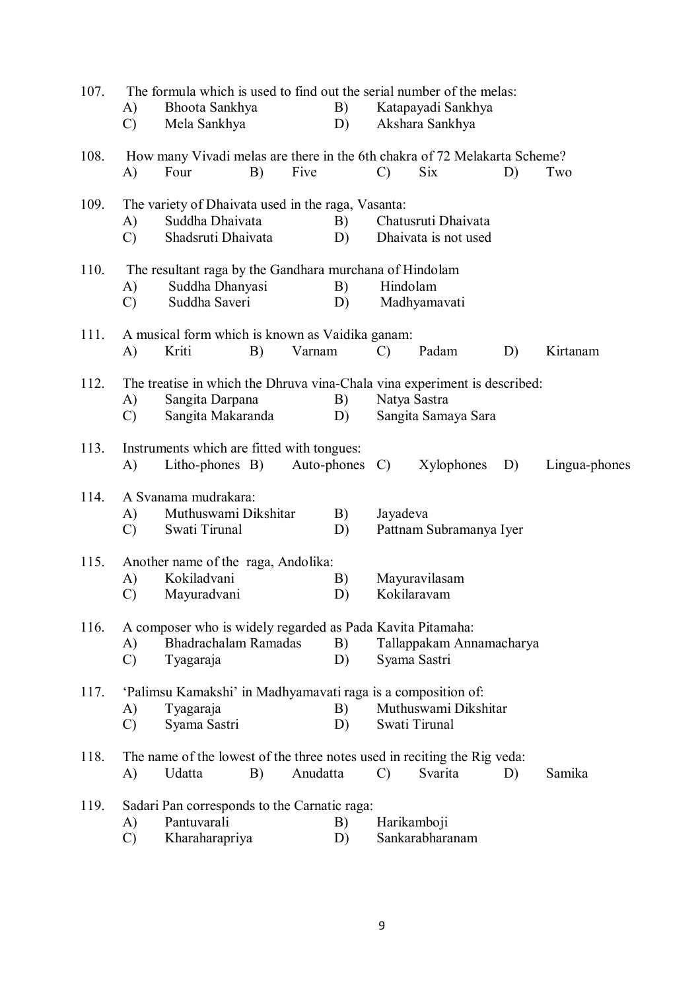| 107. | A)                  | The formula which is used to find out the serial number of the melas:<br>Bhoota Sankhya                           |    | B)             |               | Katapayadi Sankhya                          |    |               |
|------|---------------------|-------------------------------------------------------------------------------------------------------------------|----|----------------|---------------|---------------------------------------------|----|---------------|
|      | $\mathcal{C}$       | Mela Sankhya                                                                                                      |    | D)             |               | Akshara Sankhya                             |    |               |
| 108. | A)                  | How many Vivadi melas are there in the 6th chakra of 72 Melakarta Scheme?<br>Four                                 | B) | Five           | $\mathcal{C}$ | <b>Six</b>                                  | D) | Two           |
| 109. | A)<br>$\mathcal{C}$ | The variety of Dhaivata used in the raga, Vasanta:<br>Suddha Dhaivata<br>Shadsruti Dhaivata                       |    | B)<br>D)       |               | Chatusruti Dhaivata<br>Dhaivata is not used |    |               |
| 110. | A)<br>$\mathcal{C}$ | The resultant raga by the Gandhara murchana of Hindolam<br>Suddha Dhanyasi<br>Suddha Saveri                       |    | B)<br>D)       | Hindolam      | Madhyamavati                                |    |               |
| 111. | A)                  | A musical form which is known as Vaidika ganam:<br>Kriti                                                          | B) | Varnam         | $\mathcal{C}$ | Padam                                       | D) | Kirtanam      |
| 112. | A)<br>$\mathcal{C}$ | The treatise in which the Dhruva vina-Chala vina experiment is described:<br>Sangita Darpana<br>Sangita Makaranda |    | B)<br>D)       | Natya Sastra  | Sangita Samaya Sara                         |    |               |
| 113. | A)                  | Instruments which are fitted with tongues:<br>Litho-phones $B$ )                                                  |    | Auto-phones C) |               | Xylophones                                  | D) | Lingua-phones |
| 114. | A)<br>$\mathcal{C}$ | A Svanama mudrakara:<br>Muthuswami Dikshitar<br>Swati Tirunal                                                     |    | B)<br>D)       | Jayadeva      | Pattnam Subramanya Iyer                     |    |               |
| 115. | A)<br>$\mathcal{C}$ | Another name of the raga, Andolika:<br>Kokiladvani<br>Mayuradvani                                                 |    | B)<br>D)       |               | Mayuravilasam<br>Kokilaravam                |    |               |
| 116. | A)<br>$\mathcal{C}$ | A composer who is widely regarded as Pada Kavita Pitamaha:<br>Bhadrachalam Ramadas<br>Tyagaraja                   |    | B)<br>D)       |               | Tallappakam Annamacharya<br>Syama Sastri    |    |               |
| 117. | A)<br>$\mathcal{C}$ | 'Palimsu Kamakshi' in Madhyamavati raga is a composition of:<br>Tyagaraja<br>Syama Sastri                         |    | B)<br>D)       |               | Muthuswami Dikshitar<br>Swati Tirunal       |    |               |
| 118. | A)                  | The name of the lowest of the three notes used in reciting the Rig veda:<br>Udatta                                | B) | Anudatta       | $\mathcal{C}$ | Svarita                                     | D) | Samika        |
| 119. | A)<br>$\mathcal{C}$ | Sadari Pan corresponds to the Carnatic raga:<br>Pantuvarali<br>Kharaharapriya                                     |    | B)<br>D)       | Harikamboji   | Sankarabharanam                             |    |               |

9